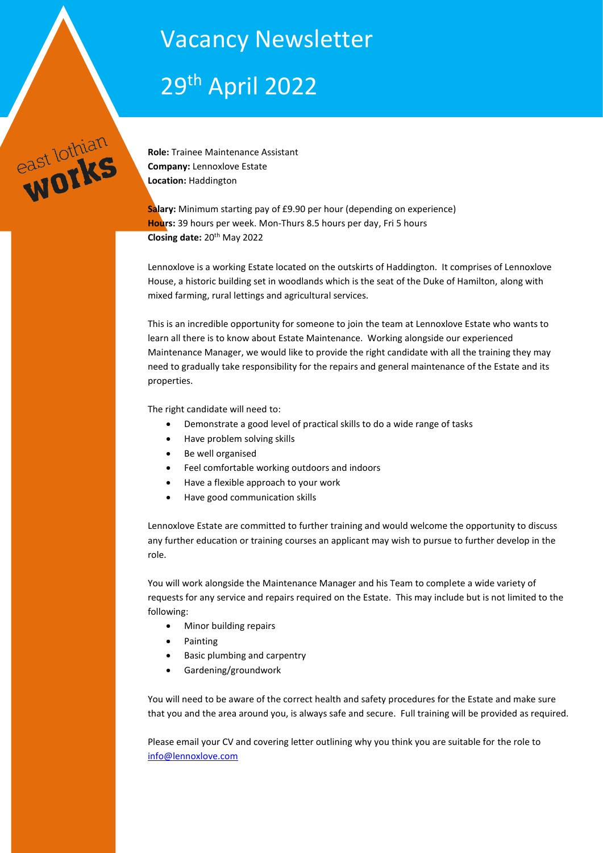# Vacancy Newsletter

# 29th April 2022



**Role:** Trainee Maintenance Assistant **Company:** Lennoxlove Estate **Location:** Haddington

**Salary:** Minimum starting pay of £9.90 per hour (depending on experience) **Hours:** 39 hours per week. Mon-Thurs 8.5 hours per day, Fri 5 hours **Closing date:** 20th May 2022

Lennoxlove is a working Estate located on the outskirts of Haddington. It comprises of Lennoxlove House, a historic building set in woodlands which is the seat of the Duke of Hamilton, along with mixed farming, rural lettings and agricultural services.

This is an incredible opportunity for someone to join the team at Lennoxlove Estate who wants to learn all there is to know about Estate Maintenance. Working alongside our experienced Maintenance Manager, we would like to provide the right candidate with all the training they may need to gradually take responsibility for the repairs and general maintenance of the Estate and its properties.

The right candidate will need to:

- Demonstrate a good level of practical skills to do a wide range of tasks
- Have problem solving skills
- Be well organised
- Feel comfortable working outdoors and indoors
- Have a flexible approach to your work
- Have good communication skills

Lennoxlove Estate are committed to further training and would welcome the opportunity to discuss any further education or training courses an applicant may wish to pursue to further develop in the role.

You will work alongside the Maintenance Manager and his Team to complete a wide variety of requests for any service and repairs required on the Estate. This may include but is not limited to the following:

- Minor building repairs
- Painting
- Basic plumbing and carpentry
- Gardening/groundwork

You will need to be aware of the correct health and safety procedures for the Estate and make sure that you and the area around you, is always safe and secure. Full training will be provided as required.

Please email your CV and covering letter outlining why you think you are suitable for the role to [info@lennoxlove.com](mailto:info@lennoxlove.com)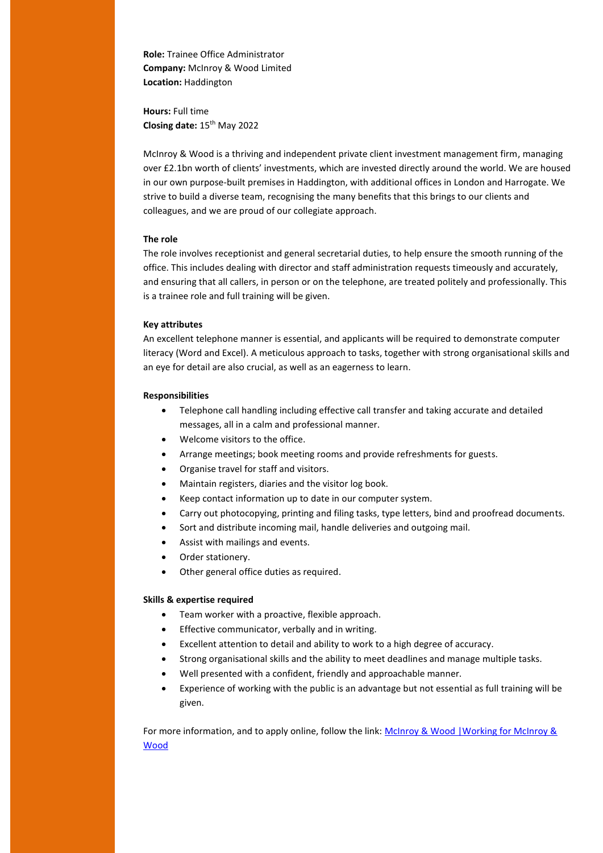**Role:** Trainee Office Administrator **Company:** McInroy & Wood Limited **Location:** Haddington

**Hours:** Full time **Closing date:** 15th May 2022

McInroy & Wood is a thriving and independent private client investment management firm, managing over £2.1bn worth of clients' investments, which are invested directly around the world. We are housed in our own purpose-built premises in Haddington, with additional offices in London and Harrogate. We strive to build a diverse team, recognising the many benefits that this brings to our clients and colleagues, and we are proud of our collegiate approach.

#### **The role**

The role involves receptionist and general secretarial duties, to help ensure the smooth running of the office. This includes dealing with director and staff administration requests timeously and accurately, and ensuring that all callers, in person or on the telephone, are treated politely and professionally. This is a trainee role and full training will be given.

#### **Key attributes**

An excellent telephone manner is essential, and applicants will be required to demonstrate computer literacy (Word and Excel). A meticulous approach to tasks, together with strong organisational skills and an eye for detail are also crucial, as well as an eagerness to learn.

#### **Responsibilities**

- Telephone call handling including effective call transfer and taking accurate and detailed messages, all in a calm and professional manner.
- Welcome visitors to the office.
- Arrange meetings; book meeting rooms and provide refreshments for guests.
- Organise travel for staff and visitors.
- Maintain registers, diaries and the visitor log book.
- Keep contact information up to date in our computer system.
- Carry out photocopying, printing and filing tasks, type letters, bind and proofread documents.
- Sort and distribute incoming mail, handle deliveries and outgoing mail.
- Assist with mailings and events.
- Order stationery.
- Other general office duties as required.

#### **Skills & expertise required**

- Team worker with a proactive, flexible approach.
- **•** Effective communicator, verbally and in writing.
- Excellent attention to detail and ability to work to a high degree of accuracy.
- Strong organisational skills and the ability to meet deadlines and manage multiple tasks.
- Well presented with a confident, friendly and approachable manner.
- Experience of working with the public is an advantage but not essential as full training will be given.

For more information, and to apply online, follow the link: McInroy & Wood |Working for McInroy & [Wood](https://www.mcinroy-wood.co.uk/about-us/working-for-mcinroy-and-wood)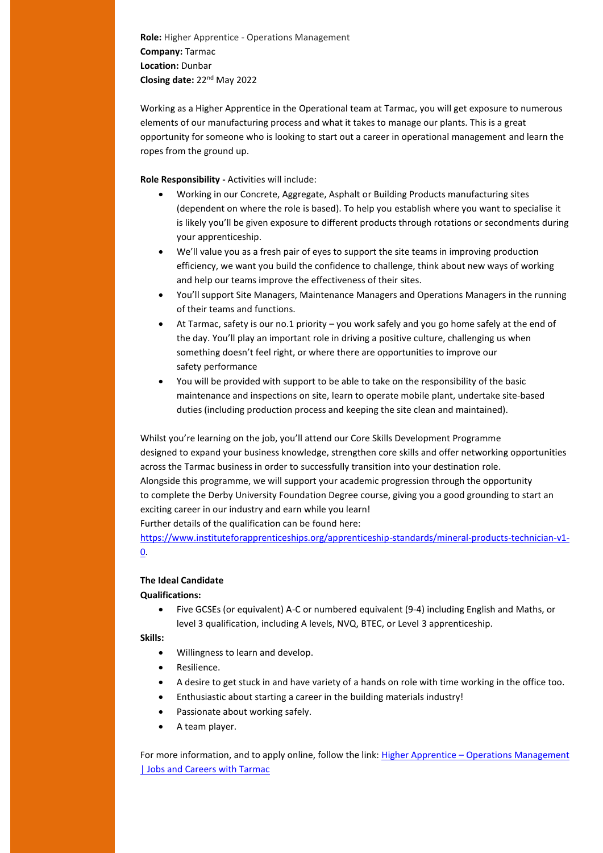**Role:** Higher Apprentice - Operations Management **Company:** Tarmac **Location:** Dunbar **Closing date:** 22nd May 2022

Working as a Higher Apprentice in the Operational team at Tarmac, you will get exposure to numerous elements of our manufacturing process and what it takes to manage our plants. This is a great opportunity for someone who is looking to start out a career in operational management and learn the ropes from the ground up.

**Role Responsibility -** Activities will include:

- Working in our Concrete, Aggregate, Asphalt or Building Products manufacturing sites (dependent on where the role is based). To help you establish where you want to specialise it is likely you'll be given exposure to different products through rotations or secondments during your apprenticeship.
- We'll value you as a fresh pair of eyes to support the site teams in improving production efficiency, we want you build the confidence to challenge, think about new ways of working and help our teams improve the effectiveness of their sites.
- You'll support Site Managers, Maintenance Managers and Operations Managers in the running of their teams and functions.
- At Tarmac, safety is our no.1 priority you work safely and you go home safely at the end of the day. You'll play an important role in driving a positive culture, challenging us when something doesn't feel right, or where there are opportunities to improve our safety performance
- You will be provided with support to be able to take on the responsibility of the basic maintenance and inspections on site, learn to operate mobile plant, undertake site-based duties (including production process and keeping the site clean and maintained).

Whilst you're learning on the job, you'll attend our Core Skills Development Programme designed to expand your business knowledge, strengthen core skills and offer networking opportunities across the Tarmac business in order to successfully transition into your destination role. Alongside this programme, we will support your academic progression through the opportunity to complete the Derby University Foundation Degree course, giving you a good grounding to start an exciting career in our industry and earn while you learn!

Further details of the qualification can be found here:

[https://www.instituteforapprenticeships.org/apprenticeship-standards/mineral-products-technician-v1-](https://www.instituteforapprenticeships.org/apprenticeship-standards/mineral-products-technician-v1-0) [0.](https://www.instituteforapprenticeships.org/apprenticeship-standards/mineral-products-technician-v1-0)

## **The Ideal Candidate**

**Qualifications:**

 Five GCSEs (or equivalent) A-C or numbered equivalent (9-4) including English and Maths, or level 3 qualification, including A levels, NVQ, BTEC, or Level 3 apprenticeship.

**Skills:**

- Willingness to learn and develop.
- **•** Resilience.
- A desire to get stuck in and have variety of a hands on role with time working in the office too.
- Enthusiastic about starting a career in the building materials industry!
- Passionate about working safely.
- A team player.

For more information, and to apply online, follow the link: Higher Apprentice – [Operations Management](https://jobsearch.tarmac.com/jobs/job/Higher-Apprentice-Operations-Management/2460)  [| Jobs and Careers with Tarmac](https://jobsearch.tarmac.com/jobs/job/Higher-Apprentice-Operations-Management/2460)